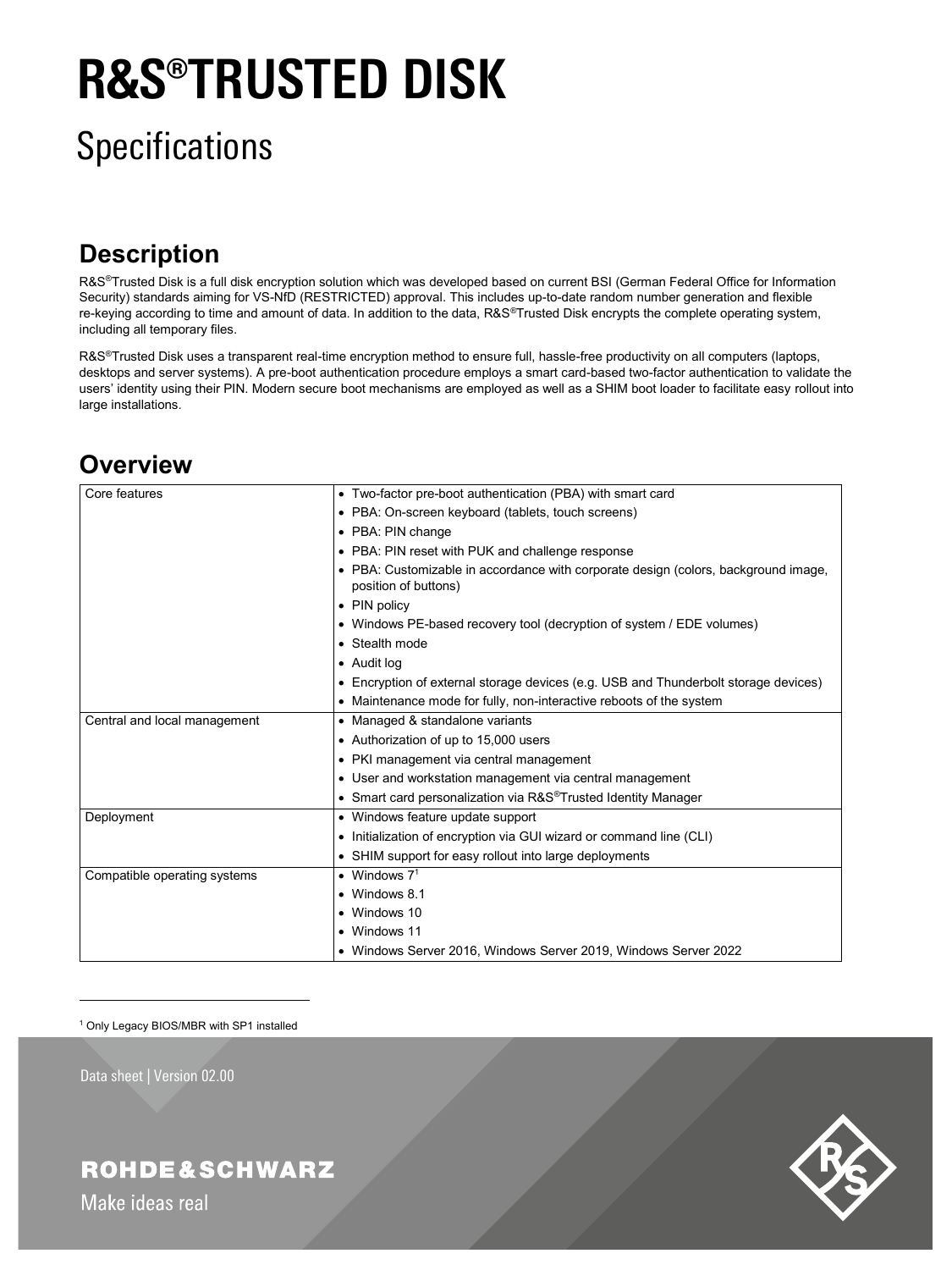# **R&S®TRUSTED DISK**

# **Specifications**

### **Description**

R&S®Trusted Disk is a full disk encryption solution which was developed based on current BSI (German Federal Office for Information Security) standards aiming for VS-NfD (RESTRICTED) approval. This includes up-to-date random number generation and flexible re-keying according to time and amount of data. In addition to the data, R&S®Trusted Disk encrypts the complete operating system, including all temporary files.

R&S®Trusted Disk uses a transparent real-time encryption method to ensure full, hassle-free productivity on all computers (laptops, desktops and server systems). A pre-boot authentication procedure employs a smart card-based two-factor authentication to validate the users' identity using their PIN. Modern secure boot mechanisms are employed as well as a SHIM boot loader to facilitate easy rollout into large installations.

#### **Overview**

| Core features                | • Two-factor pre-boot authentication (PBA) with smart card                                                 |  |  |
|------------------------------|------------------------------------------------------------------------------------------------------------|--|--|
|                              | • PBA: On-screen keyboard (tablets, touch screens)                                                         |  |  |
|                              | • PBA: PIN change                                                                                          |  |  |
|                              | • PBA: PIN reset with PUK and challenge response                                                           |  |  |
|                              | • PBA: Customizable in accordance with corporate design (colors, background image,<br>position of buttons) |  |  |
|                              | • PIN policy                                                                                               |  |  |
|                              | • Windows PE-based recovery tool (decryption of system / EDE volumes)                                      |  |  |
|                              | • Stealth mode                                                                                             |  |  |
|                              | • Audit log                                                                                                |  |  |
|                              | • Encryption of external storage devices (e.g. USB and Thunderbolt storage devices)                        |  |  |
|                              | • Maintenance mode for fully, non-interactive reboots of the system                                        |  |  |
| Central and local management | • Managed & standalone variants                                                                            |  |  |
|                              | • Authorization of up to 15,000 users                                                                      |  |  |
|                              | • PKI management via central management                                                                    |  |  |
|                              | • User and workstation management via central management                                                   |  |  |
|                              | • Smart card personalization via R&S®Trusted Identity Manager                                              |  |  |
| Deployment                   | • Windows feature update support                                                                           |  |  |
|                              | • Initialization of encryption via GUI wizard or command line (CLI)                                        |  |  |
|                              | • SHIM support for easy rollout into large deployments                                                     |  |  |
| Compatible operating systems | • Windows $71$                                                                                             |  |  |
|                              | • Windows 8.1                                                                                              |  |  |
|                              | • Windows 10                                                                                               |  |  |
|                              | • Windows 11                                                                                               |  |  |
|                              | • Windows Server 2016, Windows Server 2019, Windows Server 2022                                            |  |  |

<sup>1</sup> Only Legacy BIOS/MBR with SP1 installed

Data sheet | Version 02.00

 $\overline{a}$ 



**ROHDE&SCHWARZ** 

Make ideas real